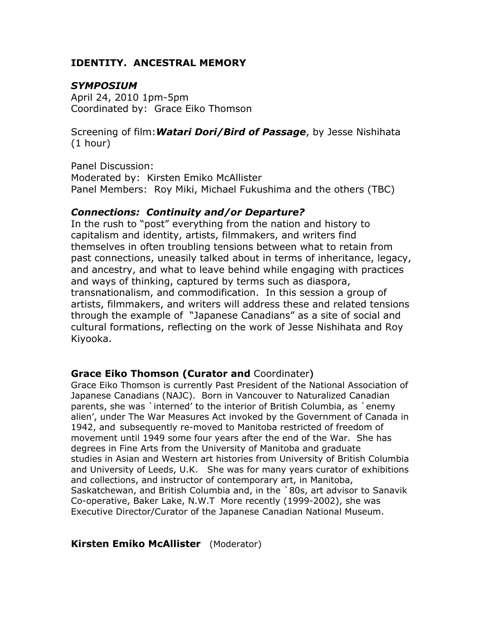# **IDENTITY. ANCESTRAL MEMORY**

# *SYMPOSIUM*

April 24, 2010 1pm-5pm Coordinated by: Grace Eiko Thomson

Screening of film:*Watari Dori/Bird of Passage*, by Jesse Nishihata (1 hour)

Panel Discussion: Moderated by: Kirsten Emiko McAllister Panel Members: Roy Miki, Michael Fukushima and the others (TBC)

### *Connections: Continuity and/or Departure?*

In the rush to "post" everything from the nation and history to capitalism and identity, artists, filmmakers, and writers find themselves in often troubling tensions between what to retain from past connections, uneasily talked about in terms of inheritance, legacy, and ancestry, and what to leave behind while engaging with practices and ways of thinking, captured by terms such as diaspora, transnationalism, and commodification. In this session a group of artists, filmmakers, and writers will address these and related tensions through the example of "Japanese Canadians" as a site of social and cultural formations, reflecting on the work of Jesse Nishihata and Roy Kiyooka.

## **Grace Eiko Thomson (Curator and** Coordinater)

Grace Eiko Thomson is currently Past President of the National Association of Japanese Canadians (NAJC). Born in Vancouver to Naturalized Canadian parents, she was `interned' to the interior of British Columbia, as `enemy alien', under The War Measures Act invoked by the Government of Canada in 1942, and subsequently re-moved to Manitoba restricted of freedom of movement until 1949 some four years after the end of the War. She has degrees in Fine Arts from the University of Manitoba and graduate studies in Asian and Western art histories from University of British Columbia and University of Leeds, U.K. She was for many years curator of exhibitions and collections, and instructor of contemporary art, in Manitoba, Saskatchewan, and British Columbia and, in the `80s, art advisor to Sanavik Co-operative, Baker Lake, N.W.T More recently (1999-2002), she was Executive Director/Curator of the Japanese Canadian National Museum.

## **Kirsten Emiko McAllister** (Moderator)